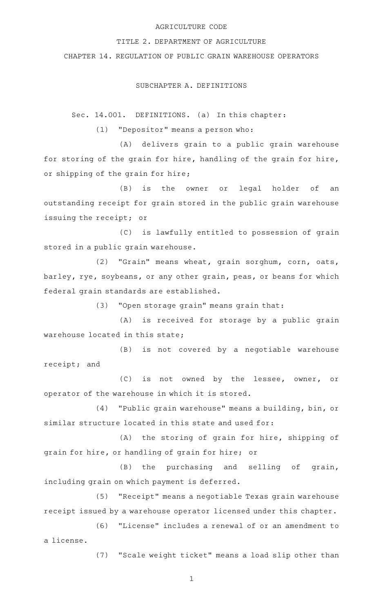# AGRICULTURE CODE

### TITLE 2. DEPARTMENT OF AGRICULTURE

CHAPTER 14. REGULATION OF PUBLIC GRAIN WAREHOUSE OPERATORS

## SUBCHAPTER A. DEFINITIONS

Sec. 14.001. DEFINITIONS. (a) In this chapter:

 $(1)$  "Depositor" means a person who:

(A) delivers grain to a public grain warehouse for storing of the grain for hire, handling of the grain for hire, or shipping of the grain for hire;

(B) is the owner or legal holder of an outstanding receipt for grain stored in the public grain warehouse issuing the receipt; or

(C) is lawfully entitled to possession of grain stored in a public grain warehouse.

(2) "Grain" means wheat, grain sorghum, corn, oats, barley, rye, soybeans, or any other grain, peas, or beans for which federal grain standards are established.

 $(3)$  "Open storage grain" means grain that:

(A) is received for storage by a public grain warehouse located in this state;

(B) is not covered by a negotiable warehouse receipt; and

(C) is not owned by the lessee, owner, or operator of the warehouse in which it is stored.

(4) "Public grain warehouse" means a building, bin, or similar structure located in this state and used for:

(A) the storing of grain for hire, shipping of grain for hire, or handling of grain for hire; or

 $(B)$  the purchasing and selling of grain, including grain on which payment is deferred.

(5) "Receipt" means a negotiable Texas grain warehouse receipt issued by a warehouse operator licensed under this chapter.

(6) "License" includes a renewal of or an amendment to a license.

(7) "Scale weight ticket" means a load slip other than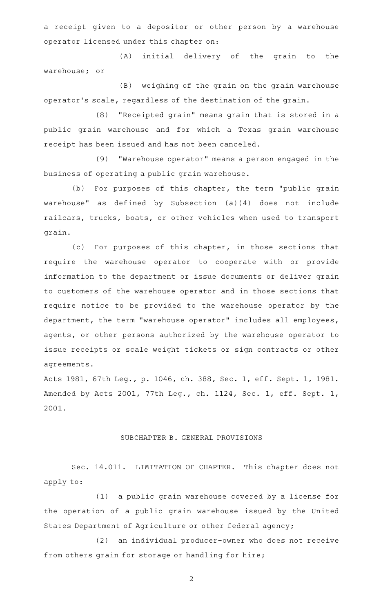a receipt given to a depositor or other person by a warehouse operator licensed under this chapter on:

(A) initial delivery of the grain to the warehouse; or

(B) weighing of the grain on the grain warehouse operator 's scale, regardless of the destination of the grain.

(8) "Receipted grain" means grain that is stored in a public grain warehouse and for which a Texas grain warehouse receipt has been issued and has not been canceled.

(9) "Warehouse operator" means a person engaged in the business of operating a public grain warehouse.

(b) For purposes of this chapter, the term "public grain warehouse" as defined by Subsection (a)(4) does not include railcars, trucks, boats, or other vehicles when used to transport grain.

(c) For purposes of this chapter, in those sections that require the warehouse operator to cooperate with or provide information to the department or issue documents or deliver grain to customers of the warehouse operator and in those sections that require notice to be provided to the warehouse operator by the department, the term "warehouse operator" includes all employees, agents, or other persons authorized by the warehouse operator to issue receipts or scale weight tickets or sign contracts or other agreements.

Acts 1981, 67th Leg., p. 1046, ch. 388, Sec. 1, eff. Sept. 1, 1981. Amended by Acts 2001, 77th Leg., ch. 1124, Sec. 1, eff. Sept. 1, 2001.

# SUBCHAPTER B. GENERAL PROVISIONS

Sec. 14.011. LIMITATION OF CHAPTER. This chapter does not apply to:

(1) a public grain warehouse covered by a license for the operation of a public grain warehouse issued by the United States Department of Agriculture or other federal agency;

(2) an individual producer-owner who does not receive from others grain for storage or handling for hire;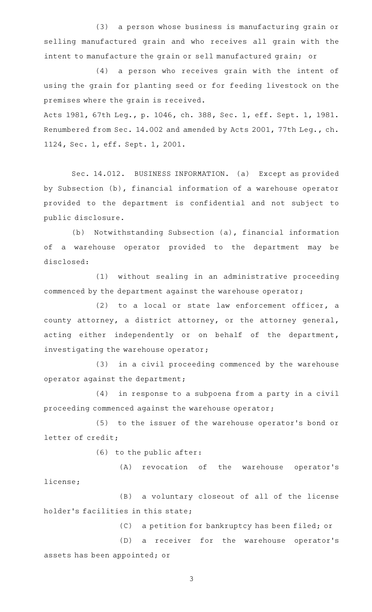(3) a person whose business is manufacturing grain or selling manufactured grain and who receives all grain with the intent to manufacture the grain or sell manufactured grain; or

(4) a person who receives grain with the intent of using the grain for planting seed or for feeding livestock on the premises where the grain is received.

Acts 1981, 67th Leg., p. 1046, ch. 388, Sec. 1, eff. Sept. 1, 1981. Renumbered from Sec. 14.002 and amended by Acts 2001, 77th Leg., ch. 1124, Sec. 1, eff. Sept. 1, 2001.

Sec. 14.012. BUSINESS INFORMATION. (a) Except as provided by Subsection (b), financial information of a warehouse operator provided to the department is confidential and not subject to public disclosure.

(b) Notwithstanding Subsection (a), financial information of a warehouse operator provided to the department may be disclosed:

(1) without sealing in an administrative proceeding commenced by the department against the warehouse operator;

 $(2)$  to a local or state law enforcement officer, a county attorney, a district attorney, or the attorney general, acting either independently or on behalf of the department, investigating the warehouse operator;

(3) in a civil proceeding commenced by the warehouse operator against the department;

(4) in response to a subpoena from a party in a civil proceeding commenced against the warehouse operator;

(5) to the issuer of the warehouse operator 's bond or letter of credit;

(6) to the public after:

(A) revocation of the warehouse operator's license;

(B) a voluntary closeout of all of the license holder 's facilities in this state;

(C) a petition for bankruptcy has been filed; or

(D) a receiver for the warehouse operator's assets has been appointed; or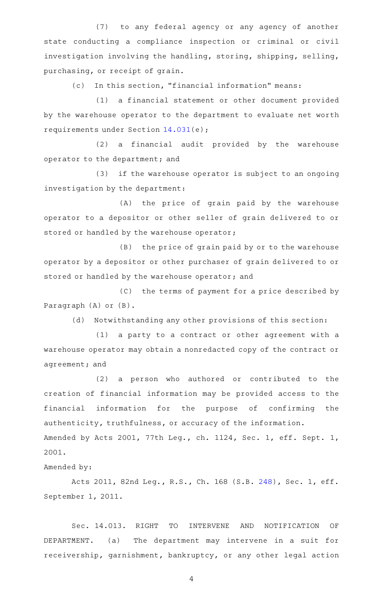(7) to any federal agency or any agency of another state conducting a compliance inspection or criminal or civil investigation involving the handling, storing, shipping, selling, purchasing, or receipt of grain.

(c) In this section, "financial information" means:

(1) a financial statement or other document provided by the warehouse operator to the department to evaluate net worth requirements under Section [14.031\(](http://www.statutes.legis.state.tx.us/GetStatute.aspx?Code=AG&Value=14.031)e);

 $(2)$  a financial audit provided by the warehouse operator to the department; and

(3) if the warehouse operator is subject to an ongoing investigation by the department:

(A) the price of grain paid by the warehouse operator to a depositor or other seller of grain delivered to or stored or handled by the warehouse operator;

(B) the price of grain paid by or to the warehouse operator by a depositor or other purchaser of grain delivered to or stored or handled by the warehouse operator; and

(C) the terms of payment for a price described by Paragraph (A) or (B).

(d) Notwithstanding any other provisions of this section:

(1) a party to a contract or other agreement with a warehouse operator may obtain a nonredacted copy of the contract or agreement; and

(2) a person who authored or contributed to the creation of financial information may be provided access to the financial information for the purpose of confirming the authenticity, truthfulness, or accuracy of the information. Amended by Acts 2001, 77th Leg., ch. 1124, Sec. 1, eff. Sept. 1, 2001.

Amended by:

Acts 2011, 82nd Leg., R.S., Ch. 168 (S.B. [248](http://www.legis.state.tx.us/tlodocs/82R/billtext/html/SB00248F.HTM)), Sec. 1, eff. September 1, 2011.

Sec. 14.013. RIGHT TO INTERVENE AND NOTIFICATION OF DEPARTMENT. (a) The department may intervene in a suit for receivership, garnishment, bankruptcy, or any other legal action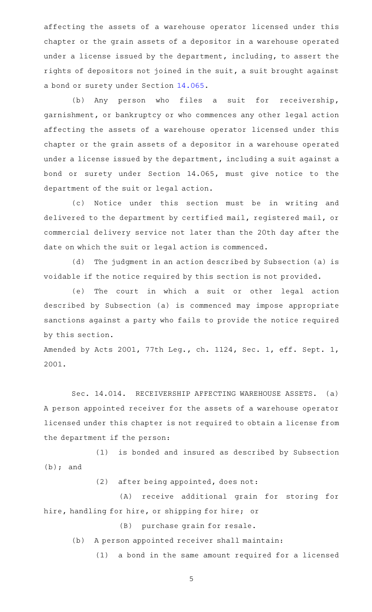affecting the assets of a warehouse operator licensed under this chapter or the grain assets of a depositor in a warehouse operated under a license issued by the department, including, to assert the rights of depositors not joined in the suit, a suit brought against a bond or surety under Section [14.065](http://www.statutes.legis.state.tx.us/GetStatute.aspx?Code=AG&Value=14.065).

(b) Any person who files a suit for receivership, garnishment, or bankruptcy or who commences any other legal action affecting the assets of a warehouse operator licensed under this chapter or the grain assets of a depositor in a warehouse operated under a license issued by the department, including a suit against a bond or surety under Section 14.065, must give notice to the department of the suit or legal action.

(c) Notice under this section must be in writing and delivered to the department by certified mail, registered mail, or commercial delivery service not later than the 20th day after the date on which the suit or legal action is commenced.

(d) The judgment in an action described by Subsection (a) is voidable if the notice required by this section is not provided.

(e) The court in which a suit or other legal action described by Subsection (a) is commenced may impose appropriate sanctions against a party who fails to provide the notice required by this section.

Amended by Acts 2001, 77th Leg., ch. 1124, Sec. 1, eff. Sept. 1, 2001.

Sec. 14.014. RECEIVERSHIP AFFECTING WAREHOUSE ASSETS. (a) A person appointed receiver for the assets of a warehouse operator licensed under this chapter is not required to obtain a license from the department if the person:

(1) is bonded and insured as described by Subsection (b); and

 $(2)$  after being appointed, does not:

(A) receive additional grain for storing for hire, handling for hire, or shipping for hire; or

(B) purchase grain for resale.

(b) A person appointed receiver shall maintain:

(1) a bond in the same amount required for a licensed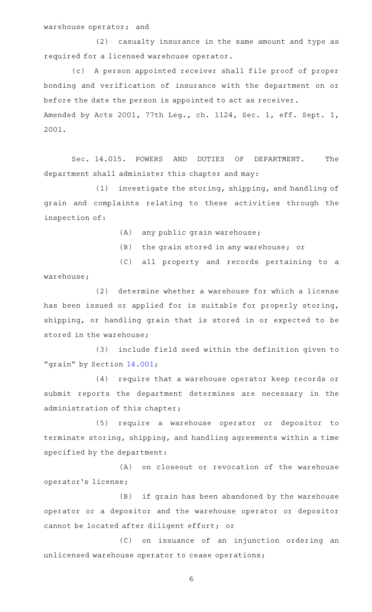warehouse operator; and

(2) casualty insurance in the same amount and type as required for a licensed warehouse operator.

(c) A person appointed receiver shall file proof of proper bonding and verification of insurance with the department on or before the date the person is appointed to act as receiver. Amended by Acts 2001, 77th Leg., ch. 1124, Sec. 1, eff. Sept. 1, 2001.

Sec. 14.015. POWERS AND DUTIES OF DEPARTMENT. The department shall administer this chapter and may:

(1) investigate the storing, shipping, and handling of grain and complaints relating to these activities through the inspection of:

- $(A)$  any public grain warehouse;
- (B) the grain stored in any warehouse; or
- (C) all property and records pertaining to a

warehouse;

(2) determine whether a warehouse for which a license has been issued or applied for is suitable for properly storing, shipping, or handling grain that is stored in or expected to be stored in the warehouse;

(3) include field seed within the definition given to "grain" by Section [14.001](http://www.statutes.legis.state.tx.us/GetStatute.aspx?Code=AG&Value=14.001);

(4) require that a warehouse operator keep records or submit reports the department determines are necessary in the administration of this chapter;

(5) require a warehouse operator or depositor to terminate storing, shipping, and handling agreements within a time specified by the department:

(A) on closeout or revocation of the warehouse operator 's license;

(B) if grain has been abandoned by the warehouse operator or a depositor and the warehouse operator or depositor cannot be located after diligent effort; or

(C) on issuance of an injunction ordering an unlicensed warehouse operator to cease operations;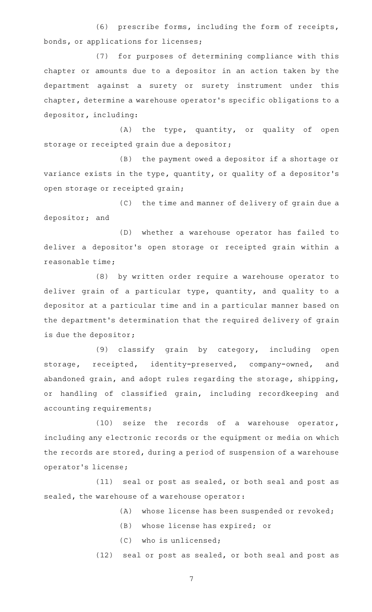(6) prescribe forms, including the form of receipts, bonds, or applications for licenses;

(7) for purposes of determining compliance with this chapter or amounts due to a depositor in an action taken by the department against a surety or surety instrument under this chapter, determine a warehouse operator 's specific obligations to a depositor, including:

(A) the type, quantity, or quality of open storage or receipted grain due a depositor;

(B) the payment owed a depositor if a shortage or variance exists in the type, quantity, or quality of a depositor 's open storage or receipted grain;

(C) the time and manner of delivery of grain due a depositor; and

(D) whether a warehouse operator has failed to deliver a depositor 's open storage or receipted grain within a reasonable time;

(8) by written order require a warehouse operator to deliver grain of a particular type, quantity, and quality to a depositor at a particular time and in a particular manner based on the department 's determination that the required delivery of grain is due the depositor;

(9) classify grain by category, including open storage, receipted, identity-preserved, company-owned, and abandoned grain, and adopt rules regarding the storage, shipping, or handling of classified grain, including recordkeeping and accounting requirements;

(10) seize the records of a warehouse operator, including any electronic records or the equipment or media on which the records are stored, during a period of suspension of a warehouse operator 's license;

(11) seal or post as sealed, or both seal and post as sealed, the warehouse of a warehouse operator:

(A) whose license has been suspended or revoked;

- (B) whose license has expired; or
- $(C)$  who is unlicensed;

 $(12)$  seal or post as sealed, or both seal and post as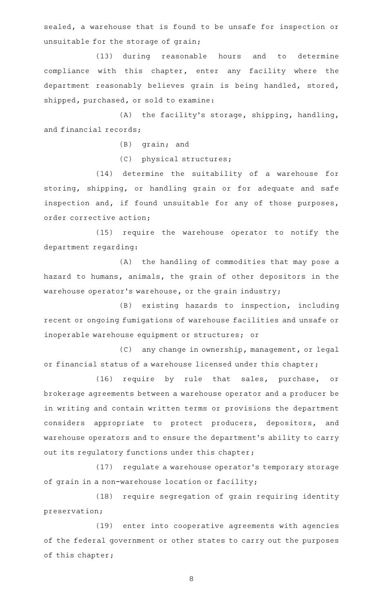sealed, a warehouse that is found to be unsafe for inspection or unsuitable for the storage of grain;

(13) during reasonable hours and to determine compliance with this chapter, enter any facility where the department reasonably believes grain is being handled, stored, shipped, purchased, or sold to examine:

 $(A)$  the facility's storage, shipping, handling, and financial records;

 $(B)$  grain; and

(C) physical structures;

(14) determine the suitability of a warehouse for storing, shipping, or handling grain or for adequate and safe inspection and, if found unsuitable for any of those purposes, order corrective action;

(15) require the warehouse operator to notify the department regarding:

(A) the handling of commodities that may pose a hazard to humans, animals, the grain of other depositors in the warehouse operator's warehouse, or the grain industry;

(B) existing hazards to inspection, including recent or ongoing fumigations of warehouse facilities and unsafe or inoperable warehouse equipment or structures; or

(C) any change in ownership, management, or legal or financial status of a warehouse licensed under this chapter;

(16) require by rule that sales, purchase, or brokerage agreements between a warehouse operator and a producer be in writing and contain written terms or provisions the department considers appropriate to protect producers, depositors, and warehouse operators and to ensure the department 's ability to carry out its regulatory functions under this chapter;

(17) regulate a warehouse operator's temporary storage of grain in a non-warehouse location or facility;

(18) require segregation of grain requiring identity preservation;

(19) enter into cooperative agreements with agencies of the federal government or other states to carry out the purposes of this chapter;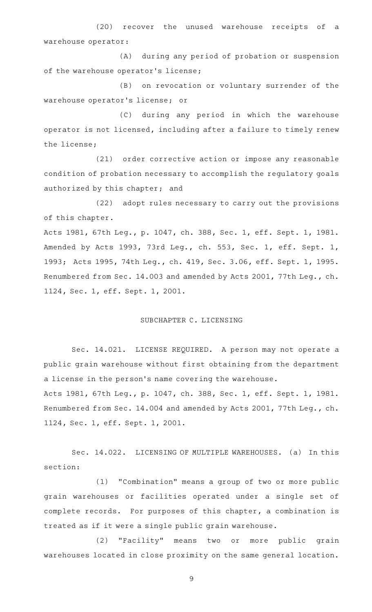(20) recover the unused warehouse receipts of a warehouse operator:

(A) during any period of probation or suspension of the warehouse operator 's license;

(B) on revocation or voluntary surrender of the warehouse operator 's license; or

(C) during any period in which the warehouse operator is not licensed, including after a failure to timely renew the license;

(21) order corrective action or impose any reasonable condition of probation necessary to accomplish the regulatory goals authorized by this chapter; and

(22) adopt rules necessary to carry out the provisions of this chapter.

Acts 1981, 67th Leg., p. 1047, ch. 388, Sec. 1, eff. Sept. 1, 1981. Amended by Acts 1993, 73rd Leg., ch. 553, Sec. 1, eff. Sept. 1, 1993; Acts 1995, 74th Leg., ch. 419, Sec. 3.06, eff. Sept. 1, 1995. Renumbered from Sec. 14.003 and amended by Acts 2001, 77th Leg., ch. 1124, Sec. 1, eff. Sept. 1, 2001.

## SUBCHAPTER C. LICENSING

Sec. 14.021. LICENSE REQUIRED. A person may not operate a public grain warehouse without first obtaining from the department a license in the person's name covering the warehouse.

Acts 1981, 67th Leg., p. 1047, ch. 388, Sec. 1, eff. Sept. 1, 1981. Renumbered from Sec. 14.004 and amended by Acts 2001, 77th Leg., ch. 1124, Sec. 1, eff. Sept. 1, 2001.

Sec. 14.022. LICENSING OF MULTIPLE WAREHOUSES. (a) In this section:

(1) "Combination" means a group of two or more public grain warehouses or facilities operated under a single set of complete records. For purposes of this chapter, a combination is treated as if it were a single public grain warehouse.

(2) "Facility" means two or more public grain warehouses located in close proximity on the same general location.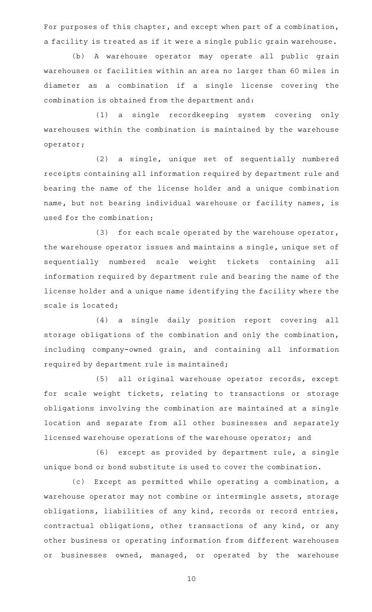For purposes of this chapter, and except when part of a combination, a facility is treated as if it were a single public grain warehouse.

(b)AAA warehouse operator may operate all public grain warehouses or facilities within an area no larger than 60 miles in diameter as a combination if a single license covering the combination is obtained from the department and:

(1) a single recordkeeping system covering only warehouses within the combination is maintained by the warehouse operator;

(2) a single, unique set of sequentially numbered receipts containing all information required by department rule and bearing the name of the license holder and a unique combination name, but not bearing individual warehouse or facility names, is used for the combination;

(3) for each scale operated by the warehouse operator, the warehouse operator issues and maintains a single, unique set of sequentially numbered scale weight tickets containing all information required by department rule and bearing the name of the license holder and a unique name identifying the facility where the scale is located;

(4) a single daily position report covering all storage obligations of the combination and only the combination, including company-owned grain, and containing all information required by department rule is maintained;

(5) all original warehouse operator records, except for scale weight tickets, relating to transactions or storage obligations involving the combination are maintained at a single location and separate from all other businesses and separately licensed warehouse operations of the warehouse operator; and

(6) except as provided by department rule, a single unique bond or bond substitute is used to cover the combination.

(c) Except as permitted while operating a combination, a warehouse operator may not combine or intermingle assets, storage obligations, liabilities of any kind, records or record entries, contractual obligations, other transactions of any kind, or any other business or operating information from different warehouses or businesses owned, managed, or operated by the warehouse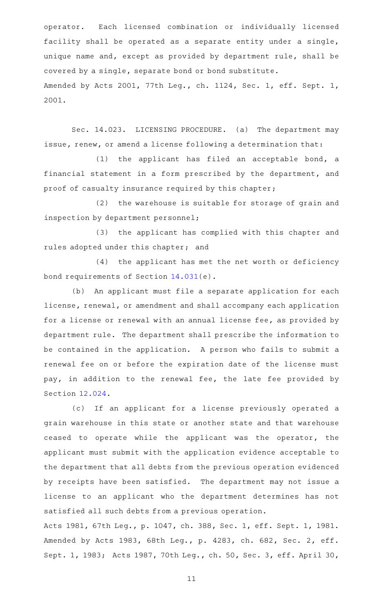operator. Each licensed combination or individually licensed facility shall be operated as a separate entity under a single, unique name and, except as provided by department rule, shall be covered by a single, separate bond or bond substitute. Amended by Acts 2001, 77th Leg., ch. 1124, Sec. 1, eff. Sept. 1, 2001.

Sec. 14.023. LICENSING PROCEDURE. (a) The department may issue, renew, or amend a license following a determination that:

 $(1)$  the applicant has filed an acceptable bond, a financial statement in a form prescribed by the department, and proof of casualty insurance required by this chapter;

(2) the warehouse is suitable for storage of grain and inspection by department personnel;

(3) the applicant has complied with this chapter and rules adopted under this chapter; and

(4) the applicant has met the net worth or deficiency bond requirements of Section [14.031](http://www.statutes.legis.state.tx.us/GetStatute.aspx?Code=AG&Value=14.031)(e).

(b) An applicant must file a separate application for each license, renewal, or amendment and shall accompany each application for a license or renewal with an annual license fee, as provided by department rule. The department shall prescribe the information to be contained in the application. A person who fails to submit a renewal fee on or before the expiration date of the license must pay, in addition to the renewal fee, the late fee provided by Section [12.024](http://www.statutes.legis.state.tx.us/GetStatute.aspx?Code=AG&Value=12.024).

(c) If an applicant for a license previously operated a grain warehouse in this state or another state and that warehouse ceased to operate while the applicant was the operator, the applicant must submit with the application evidence acceptable to the department that all debts from the previous operation evidenced by receipts have been satisfied. The department may not issue a license to an applicant who the department determines has not satisfied all such debts from a previous operation.

Acts 1981, 67th Leg., p. 1047, ch. 388, Sec. 1, eff. Sept. 1, 1981. Amended by Acts 1983, 68th Leg., p. 4283, ch. 682, Sec. 2, eff. Sept. 1, 1983; Acts 1987, 70th Leg., ch. 50, Sec. 3, eff. April 30,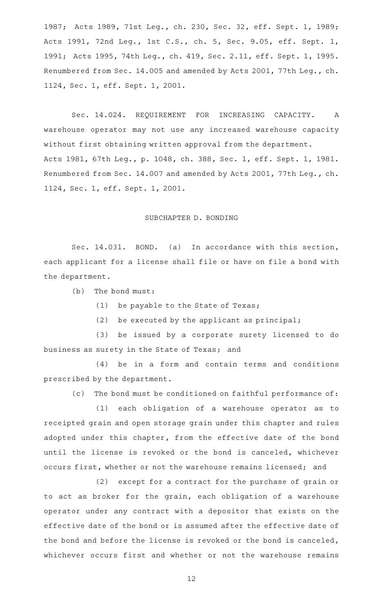1987; Acts 1989, 71st Leg., ch. 230, Sec. 32, eff. Sept. 1, 1989; Acts 1991, 72nd Leg., 1st C.S., ch. 5, Sec. 9.05, eff. Sept. 1, 1991; Acts 1995, 74th Leg., ch. 419, Sec. 2.11, eff. Sept. 1, 1995. Renumbered from Sec. 14.005 and amended by Acts 2001, 77th Leg., ch. 1124, Sec. 1, eff. Sept. 1, 2001.

Sec. 14.024. REQUIREMENT FOR INCREASING CAPACITY. A warehouse operator may not use any increased warehouse capacity without first obtaining written approval from the department. Acts 1981, 67th Leg., p. 1048, ch. 388, Sec. 1, eff. Sept. 1, 1981. Renumbered from Sec. 14.007 and amended by Acts 2001, 77th Leg., ch. 1124, Sec. 1, eff. Sept. 1, 2001.

#### SUBCHAPTER D. BONDING

Sec. 14.031. BOND. (a) In accordance with this section, each applicant for a license shall file or have on file a bond with the department.

 $(b)$  The bond must:

(1) be payable to the State of Texas;

(2) be executed by the applicant as principal;

(3) be issued by a corporate surety licensed to do business as surety in the State of Texas; and

 $(4)$  be in a form and contain terms and conditions prescribed by the department.

(c) The bond must be conditioned on faithful performance of:

(1) each obligation of a warehouse operator as to receipted grain and open storage grain under this chapter and rules adopted under this chapter, from the effective date of the bond until the license is revoked or the bond is canceled, whichever occurs first, whether or not the warehouse remains licensed; and

(2) except for a contract for the purchase of grain or to act as broker for the grain, each obligation of a warehouse operator under any contract with a depositor that exists on the effective date of the bond or is assumed after the effective date of the bond and before the license is revoked or the bond is canceled, whichever occurs first and whether or not the warehouse remains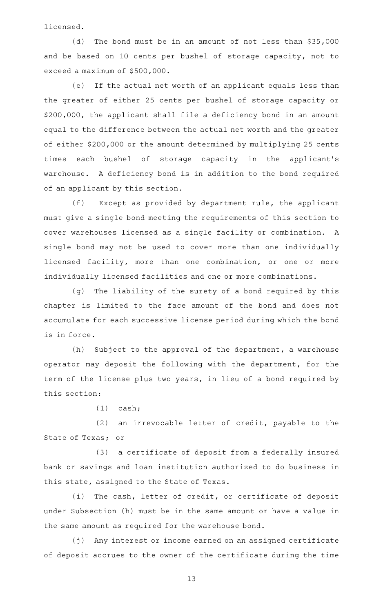licensed.

(d) The bond must be in an amount of not less than  $$35,000$ and be based on 10 cents per bushel of storage capacity, not to exceed a maximum of \$500,000.

(e) If the actual net worth of an applicant equals less than the greater of either 25 cents per bushel of storage capacity or \$200,000, the applicant shall file a deficiency bond in an amount equal to the difference between the actual net worth and the greater of either \$200,000 or the amount determined by multiplying 25 cents times each bushel of storage capacity in the applicant 's warehouse. A deficiency bond is in addition to the bond required of an applicant by this section.

 $(f)$  Except as provided by department rule, the applicant must give a single bond meeting the requirements of this section to cover warehouses licensed as a single facility or combination. A single bond may not be used to cover more than one individually licensed facility, more than one combination, or one or more individually licensed facilities and one or more combinations.

(g) The liability of the surety of a bond required by this chapter is limited to the face amount of the bond and does not accumulate for each successive license period during which the bond is in force.

(h) Subject to the approval of the department, a warehouse operator may deposit the following with the department, for the term of the license plus two years, in lieu of a bond required by this section:

 $(1)$  cash;

(2) an irrevocable letter of credit, payable to the State of Texas; or

(3) a certificate of deposit from a federally insured bank or savings and loan institution authorized to do business in this state, assigned to the State of Texas.

(i) The cash, letter of credit, or certificate of deposit under Subsection (h) must be in the same amount or have a value in the same amount as required for the warehouse bond.

(j) Any interest or income earned on an assigned certificate of deposit accrues to the owner of the certificate during the time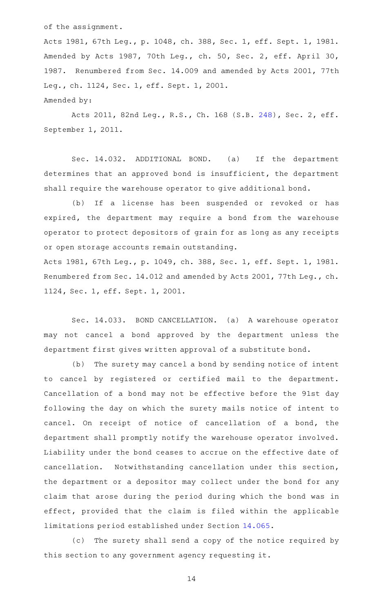of the assignment.

Acts 1981, 67th Leg., p. 1048, ch. 388, Sec. 1, eff. Sept. 1, 1981. Amended by Acts 1987, 70th Leg., ch. 50, Sec. 2, eff. April 30, 1987. Renumbered from Sec. 14.009 and amended by Acts 2001, 77th Leg., ch. 1124, Sec. 1, eff. Sept. 1, 2001. Amended by:

Acts 2011, 82nd Leg., R.S., Ch. 168 (S.B. [248](http://www.legis.state.tx.us/tlodocs/82R/billtext/html/SB00248F.HTM)), Sec. 2, eff. September 1, 2011.

Sec. 14.032. ADDITIONAL BOND. (a) If the department determines that an approved bond is insufficient, the department shall require the warehouse operator to give additional bond.

(b) If a license has been suspended or revoked or has expired, the department may require a bond from the warehouse operator to protect depositors of grain for as long as any receipts or open storage accounts remain outstanding.

Acts 1981, 67th Leg., p. 1049, ch. 388, Sec. 1, eff. Sept. 1, 1981. Renumbered from Sec. 14.012 and amended by Acts 2001, 77th Leg., ch. 1124, Sec. 1, eff. Sept. 1, 2001.

Sec. 14.033. BOND CANCELLATION. (a) A warehouse operator may not cancel a bond approved by the department unless the department first gives written approval of a substitute bond.

(b) The surety may cancel a bond by sending notice of intent to cancel by registered or certified mail to the department. Cancellation of a bond may not be effective before the 91st day following the day on which the surety mails notice of intent to cancel. On receipt of notice of cancellation of a bond, the department shall promptly notify the warehouse operator involved. Liability under the bond ceases to accrue on the effective date of cancellation. Notwithstanding cancellation under this section, the department or a depositor may collect under the bond for any claim that arose during the period during which the bond was in effect, provided that the claim is filed within the applicable limitations period established under Section [14.065](http://www.statutes.legis.state.tx.us/GetStatute.aspx?Code=AG&Value=14.065).

(c) The surety shall send a copy of the notice required by this section to any government agency requesting it.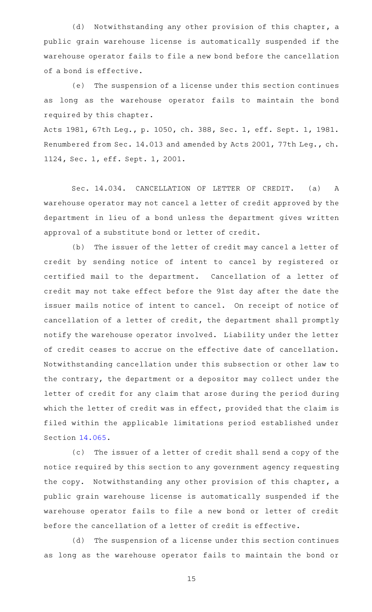(d) Notwithstanding any other provision of this chapter, a public grain warehouse license is automatically suspended if the warehouse operator fails to file a new bond before the cancellation of a bond is effective.

(e) The suspension of a license under this section continues as long as the warehouse operator fails to maintain the bond required by this chapter.

Acts 1981, 67th Leg., p. 1050, ch. 388, Sec. 1, eff. Sept. 1, 1981. Renumbered from Sec. 14.013 and amended by Acts 2001, 77th Leg., ch. 1124, Sec. 1, eff. Sept. 1, 2001.

Sec. 14.034. CANCELLATION OF LETTER OF CREDIT. (a) A warehouse operator may not cancel a letter of credit approved by the department in lieu of a bond unless the department gives written approval of a substitute bond or letter of credit.

(b) The issuer of the letter of credit may cancel a letter of credit by sending notice of intent to cancel by registered or certified mail to the department. Cancellation of a letter of credit may not take effect before the 91st day after the date the issuer mails notice of intent to cancel. On receipt of notice of cancellation of a letter of credit, the department shall promptly notify the warehouse operator involved. Liability under the letter of credit ceases to accrue on the effective date of cancellation. Notwithstanding cancellation under this subsection or other law to the contrary, the department or a depositor may collect under the letter of credit for any claim that arose during the period during which the letter of credit was in effect, provided that the claim is filed within the applicable limitations period established under Section [14.065](http://www.statutes.legis.state.tx.us/GetStatute.aspx?Code=AG&Value=14.065).

(c) The issuer of a letter of credit shall send a copy of the notice required by this section to any government agency requesting the copy. Notwithstanding any other provision of this chapter, a public grain warehouse license is automatically suspended if the warehouse operator fails to file a new bond or letter of credit before the cancellation of a letter of credit is effective.

(d) The suspension of a license under this section continues as long as the warehouse operator fails to maintain the bond or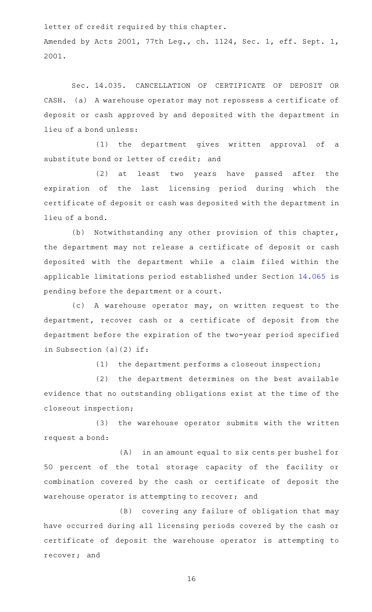letter of credit required by this chapter. Amended by Acts 2001, 77th Leg., ch. 1124, Sec. 1, eff. Sept. 1, 2001.

Sec. 14.035. CANCELLATION OF CERTIFICATE OF DEPOSIT OR CASH. (a) A warehouse operator may not repossess a certificate of deposit or cash approved by and deposited with the department in lieu of a bond unless:

(1) the department gives written approval of a substitute bond or letter of credit; and

(2) at least two years have passed after the expiration of the last licensing period during which the certificate of deposit or cash was deposited with the department in lieu of a bond.

(b) Notwithstanding any other provision of this chapter, the department may not release a certificate of deposit or cash deposited with the department while a claim filed within the applicable limitations period established under Section [14.065](http://www.statutes.legis.state.tx.us/GetStatute.aspx?Code=AG&Value=14.065) is pending before the department or a court.

(c)AAA warehouse operator may, on written request to the department, recover cash or a certificate of deposit from the department before the expiration of the two-year period specified in Subsection (a)(2) if:

 $(1)$  the department performs a closeout inspection;

(2) the department determines on the best available evidence that no outstanding obligations exist at the time of the closeout inspection;

(3) the warehouse operator submits with the written request a bond:

(A) in an amount equal to six cents per bushel for 50 percent of the total storage capacity of the facility or combination covered by the cash or certificate of deposit the warehouse operator is attempting to recover; and

(B) covering any failure of obligation that may have occurred during all licensing periods covered by the cash or certificate of deposit the warehouse operator is attempting to recover; and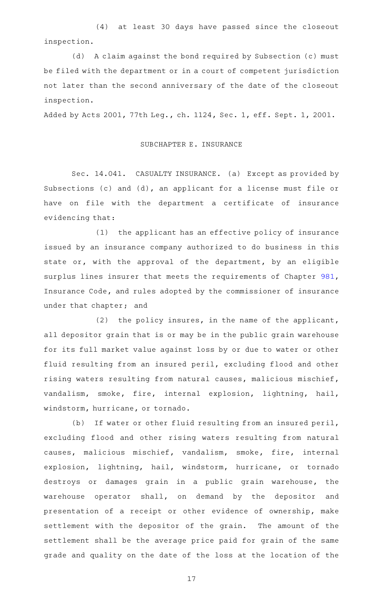(4) at least 30 days have passed since the closeout inspection.

(d) A claim against the bond required by Subsection (c) must be filed with the department or in a court of competent jurisdiction not later than the second anniversary of the date of the closeout inspection.

Added by Acts 2001, 77th Leg., ch. 1124, Sec. 1, eff. Sept. 1, 2001.

# SUBCHAPTER E. INSURANCE

Sec. 14.041. CASUALTY INSURANCE. (a) Except as provided by Subsections (c) and (d), an applicant for a license must file or have on file with the department a certificate of insurance evidencing that:

(1) the applicant has an effective policy of insurance issued by an insurance company authorized to do business in this state or, with the approval of the department, by an eligible surplus lines insurer that meets the requirements of Chapter [981](http://www.statutes.legis.state.tx.us/GetStatute.aspx?Code=IN&Value=981), Insurance Code, and rules adopted by the commissioner of insurance under that chapter; and

(2) the policy insures, in the name of the applicant, all depositor grain that is or may be in the public grain warehouse for its full market value against loss by or due to water or other fluid resulting from an insured peril, excluding flood and other rising waters resulting from natural causes, malicious mischief, vandalism, smoke, fire, internal explosion, lightning, hail, windstorm, hurricane, or tornado.

(b) If water or other fluid resulting from an insured peril, excluding flood and other rising waters resulting from natural causes, malicious mischief, vandalism, smoke, fire, internal explosion, lightning, hail, windstorm, hurricane, or tornado destroys or damages grain in a public grain warehouse, the warehouse operator shall, on demand by the depositor and presentation of a receipt or other evidence of ownership, make settlement with the depositor of the grain. The amount of the settlement shall be the average price paid for grain of the same grade and quality on the date of the loss at the location of the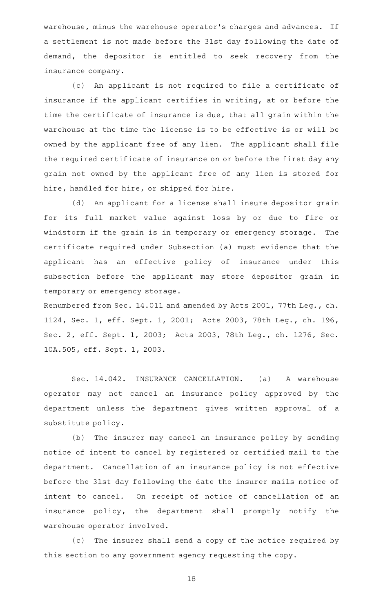warehouse, minus the warehouse operator 's charges and advances. If a settlement is not made before the 31st day following the date of demand, the depositor is entitled to seek recovery from the insurance company.

(c) An applicant is not required to file a certificate of insurance if the applicant certifies in writing, at or before the time the certificate of insurance is due, that all grain within the warehouse at the time the license is to be effective is or will be owned by the applicant free of any lien. The applicant shall file the required certificate of insurance on or before the first day any grain not owned by the applicant free of any lien is stored for hire, handled for hire, or shipped for hire.

(d) An applicant for a license shall insure depositor grain for its full market value against loss by or due to fire or windstorm if the grain is in temporary or emergency storage. The certificate required under Subsection (a) must evidence that the applicant has an effective policy of insurance under this subsection before the applicant may store depositor grain in temporary or emergency storage.

Renumbered from Sec. 14.011 and amended by Acts 2001, 77th Leg., ch. 1124, Sec. 1, eff. Sept. 1, 2001; Acts 2003, 78th Leg., ch. 196, Sec. 2, eff. Sept. 1, 2003; Acts 2003, 78th Leg., ch. 1276, Sec. 10A.505, eff. Sept. 1, 2003.

Sec. 14.042. INSURANCE CANCELLATION. (a) A warehouse operator may not cancel an insurance policy approved by the department unless the department gives written approval of a substitute policy.

(b) The insurer may cancel an insurance policy by sending notice of intent to cancel by registered or certified mail to the department. Cancellation of an insurance policy is not effective before the 31st day following the date the insurer mails notice of intent to cancel. On receipt of notice of cancellation of an insurance policy, the department shall promptly notify the warehouse operator involved.

(c) The insurer shall send a copy of the notice required by this section to any government agency requesting the copy.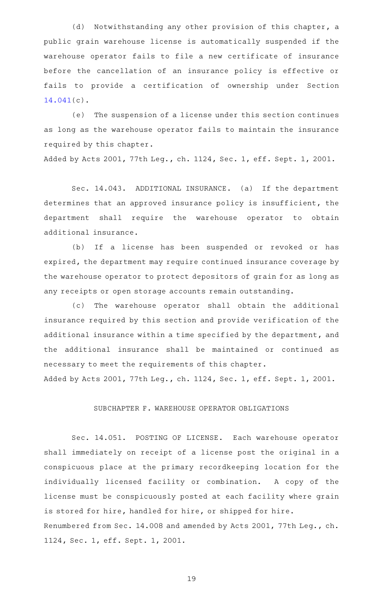(d) Notwithstanding any other provision of this chapter, a public grain warehouse license is automatically suspended if the warehouse operator fails to file a new certificate of insurance before the cancellation of an insurance policy is effective or fails to provide a certification of ownership under Section [14.041](http://www.statutes.legis.state.tx.us/GetStatute.aspx?Code=AG&Value=14.041)(c).

(e) The suspension of a license under this section continues as long as the warehouse operator fails to maintain the insurance required by this chapter.

Added by Acts 2001, 77th Leg., ch. 1124, Sec. 1, eff. Sept. 1, 2001.

Sec. 14.043. ADDITIONAL INSURANCE. (a) If the department determines that an approved insurance policy is insufficient, the department shall require the warehouse operator to obtain additional insurance.

(b) If a license has been suspended or revoked or has expired, the department may require continued insurance coverage by the warehouse operator to protect depositors of grain for as long as any receipts or open storage accounts remain outstanding.

(c) The warehouse operator shall obtain the additional insurance required by this section and provide verification of the additional insurance within a time specified by the department, and the additional insurance shall be maintained or continued as necessary to meet the requirements of this chapter.

Added by Acts 2001, 77th Leg., ch. 1124, Sec. 1, eff. Sept. 1, 2001.

## SUBCHAPTER F. WAREHOUSE OPERATOR OBLIGATIONS

Sec. 14.051. POSTING OF LICENSE. Each warehouse operator shall immediately on receipt of a license post the original in a conspicuous place at the primary recordkeeping location for the individually licensed facility or combination. A copy of the license must be conspicuously posted at each facility where grain is stored for hire, handled for hire, or shipped for hire. Renumbered from Sec. 14.008 and amended by Acts 2001, 77th Leg., ch. 1124, Sec. 1, eff. Sept. 1, 2001.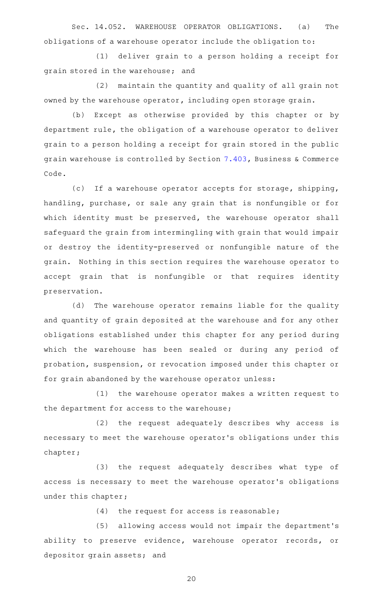Sec. 14.052. WAREHOUSE OPERATOR OBLIGATIONS. (a) The obligations of a warehouse operator include the obligation to:

(1) deliver grain to a person holding a receipt for grain stored in the warehouse; and

(2) maintain the quantity and quality of all grain not owned by the warehouse operator, including open storage grain.

(b) Except as otherwise provided by this chapter or by department rule, the obligation of a warehouse operator to deliver grain to a person holding a receipt for grain stored in the public grain warehouse is controlled by Section [7.403](http://www.statutes.legis.state.tx.us/GetStatute.aspx?Code=BC&Value=7.403), Business & Commerce Code.

(c) If a warehouse operator accepts for storage, shipping, handling, purchase, or sale any grain that is nonfungible or for which identity must be preserved, the warehouse operator shall safeguard the grain from intermingling with grain that would impair or destroy the identity-preserved or nonfungible nature of the grain. Nothing in this section requires the warehouse operator to accept grain that is nonfungible or that requires identity preservation.

(d) The warehouse operator remains liable for the quality and quantity of grain deposited at the warehouse and for any other obligations established under this chapter for any period during which the warehouse has been sealed or during any period of probation, suspension, or revocation imposed under this chapter or for grain abandoned by the warehouse operator unless:

(1) the warehouse operator makes a written request to the department for access to the warehouse;

(2) the request adequately describes why access is necessary to meet the warehouse operator 's obligations under this chapter;

(3) the request adequately describes what type of access is necessary to meet the warehouse operator 's obligations under this chapter;

 $(4)$  the request for access is reasonable;

(5) allowing access would not impair the department's ability to preserve evidence, warehouse operator records, or depositor grain assets; and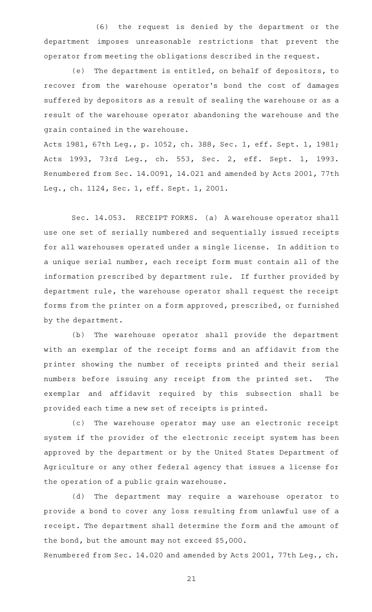(6) the request is denied by the department or the department imposes unreasonable restrictions that prevent the operator from meeting the obligations described in the request.

(e) The department is entitled, on behalf of depositors, to recover from the warehouse operator 's bond the cost of damages suffered by depositors as a result of sealing the warehouse or as a result of the warehouse operator abandoning the warehouse and the grain contained in the warehouse.

Acts 1981, 67th Leg., p. 1052, ch. 388, Sec. 1, eff. Sept. 1, 1981; Acts 1993, 73rd Leg., ch. 553, Sec. 2, eff. Sept. 1, 1993. Renumbered from Sec. 14.0091, 14.021 and amended by Acts 2001, 77th Leg., ch. 1124, Sec. 1, eff. Sept. 1, 2001.

Sec. 14.053. RECEIPT FORMS. (a) A warehouse operator shall use one set of serially numbered and sequentially issued receipts for all warehouses operated under a single license. In addition to a unique serial number, each receipt form must contain all of the information prescribed by department rule. If further provided by department rule, the warehouse operator shall request the receipt forms from the printer on a form approved, prescribed, or furnished by the department.

(b) The warehouse operator shall provide the department with an exemplar of the receipt forms and an affidavit from the printer showing the number of receipts printed and their serial numbers before issuing any receipt from the printed set. The exemplar and affidavit required by this subsection shall be provided each time a new set of receipts is printed.

(c) The warehouse operator may use an electronic receipt system if the provider of the electronic receipt system has been approved by the department or by the United States Department of Agriculture or any other federal agency that issues a license for the operation of a public grain warehouse.

(d) The department may require a warehouse operator to provide a bond to cover any loss resulting from unlawful use of a receipt. The department shall determine the form and the amount of the bond, but the amount may not exceed \$5,000.

Renumbered from Sec. 14.020 and amended by Acts 2001, 77th Leg., ch.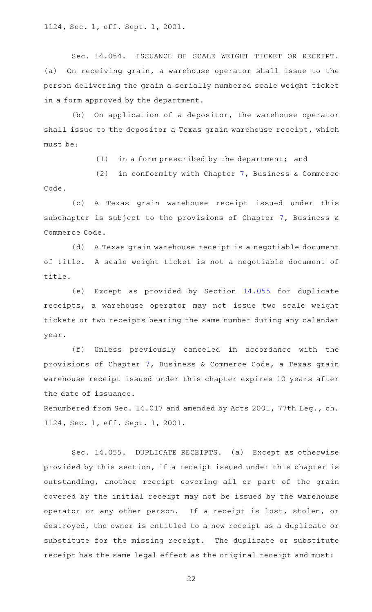Sec. 14.054. ISSUANCE OF SCALE WEIGHT TICKET OR RECEIPT. (a) On receiving grain, a warehouse operator shall issue to the person delivering the grain a serially numbered scale weight ticket in a form approved by the department.

 $(b)$  On application of a depositor, the warehouse operator shall issue to the depositor a Texas grain warehouse receipt, which must be:

 $(1)$  in a form prescribed by the department; and

(2) in conformity with Chapter [7](http://www.statutes.legis.state.tx.us/GetStatute.aspx?Code=BC&Value=7), Business & Commerce Code.

(c)AAA Texas grain warehouse receipt issued under this subchapter is subject to the provisions of Chapter [7,](http://www.statutes.legis.state.tx.us/GetStatute.aspx?Code=BC&Value=7) Business & Commerce Code.

(d) A Texas grain warehouse receipt is a negotiable document of title. A scale weight ticket is not a negotiable document of title.

(e) Except as provided by Section [14.055](http://www.statutes.legis.state.tx.us/GetStatute.aspx?Code=AG&Value=14.055) for duplicate receipts, a warehouse operator may not issue two scale weight tickets or two receipts bearing the same number during any calendar year.

(f) Unless previously canceled in accordance with the provisions of Chapter [7,](http://www.statutes.legis.state.tx.us/GetStatute.aspx?Code=BC&Value=7) Business & Commerce Code, a Texas grain warehouse receipt issued under this chapter expires 10 years after the date of issuance.

Renumbered from Sec. 14.017 and amended by Acts 2001, 77th Leg., ch. 1124, Sec. 1, eff. Sept. 1, 2001.

Sec. 14.055. DUPLICATE RECEIPTS. (a) Except as otherwise provided by this section, if a receipt issued under this chapter is outstanding, another receipt covering all or part of the grain covered by the initial receipt may not be issued by the warehouse operator or any other person. If a receipt is lost, stolen, or destroyed, the owner is entitled to a new receipt as a duplicate or substitute for the missing receipt. The duplicate or substitute receipt has the same legal effect as the original receipt and must: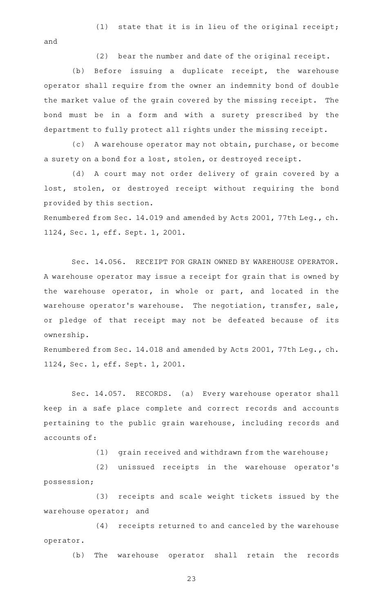(1) state that it is in lieu of the original receipt;

and

 $(2)$  bear the number and date of the original receipt.

(b) Before issuing a duplicate receipt, the warehouse operator shall require from the owner an indemnity bond of double the market value of the grain covered by the missing receipt. The bond must be in a form and with a surety prescribed by the department to fully protect all rights under the missing receipt.

(c)AAA warehouse operator may not obtain, purchase, or become a surety on a bond for a lost, stolen, or destroyed receipt.

(d) A court may not order delivery of grain covered by a lost, stolen, or destroyed receipt without requiring the bond provided by this section.

Renumbered from Sec. 14.019 and amended by Acts 2001, 77th Leg., ch. 1124, Sec. 1, eff. Sept. 1, 2001.

Sec. 14.056. RECEIPT FOR GRAIN OWNED BY WAREHOUSE OPERATOR. A warehouse operator may issue a receipt for grain that is owned by the warehouse operator, in whole or part, and located in the warehouse operator's warehouse. The negotiation, transfer, sale, or pledge of that receipt may not be defeated because of its ownership.

Renumbered from Sec. 14.018 and amended by Acts 2001, 77th Leg., ch. 1124, Sec. 1, eff. Sept. 1, 2001.

Sec. 14.057. RECORDS. (a) Every warehouse operator shall keep in a safe place complete and correct records and accounts pertaining to the public grain warehouse, including records and accounts of:

 $(1)$  grain received and withdrawn from the warehouse;

(2) unissued receipts in the warehouse operator's possession;

(3) receipts and scale weight tickets issued by the warehouse operator; and

(4) receipts returned to and canceled by the warehouse operator.

(b) The warehouse operator shall retain the records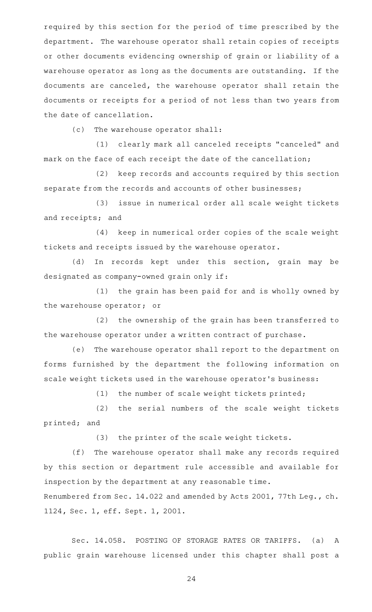required by this section for the period of time prescribed by the department. The warehouse operator shall retain copies of receipts or other documents evidencing ownership of grain or liability of a warehouse operator as long as the documents are outstanding. If the documents are canceled, the warehouse operator shall retain the documents or receipts for a period of not less than two years from the date of cancellation.

(c) The warehouse operator shall:

(1) clearly mark all canceled receipts "canceled" and mark on the face of each receipt the date of the cancellation;

(2) keep records and accounts required by this section separate from the records and accounts of other businesses;

(3) issue in numerical order all scale weight tickets and receipts; and

(4) keep in numerical order copies of the scale weight tickets and receipts issued by the warehouse operator.

(d) In records kept under this section, grain may be designated as company-owned grain only if:

 $(1)$  the grain has been paid for and is wholly owned by the warehouse operator; or

(2) the ownership of the grain has been transferred to the warehouse operator under a written contract of purchase.

(e) The warehouse operator shall report to the department on forms furnished by the department the following information on scale weight tickets used in the warehouse operator 's business:

 $(1)$  the number of scale weight tickets printed;

(2) the serial numbers of the scale weight tickets printed; and

(3) the printer of the scale weight tickets.

(f) The warehouse operator shall make any records required by this section or department rule accessible and available for inspection by the department at any reasonable time.

Renumbered from Sec. 14.022 and amended by Acts 2001, 77th Leg., ch. 1124, Sec. 1, eff. Sept. 1, 2001.

Sec. 14.058. POSTING OF STORAGE RATES OR TARIFFS. (a) A public grain warehouse licensed under this chapter shall post a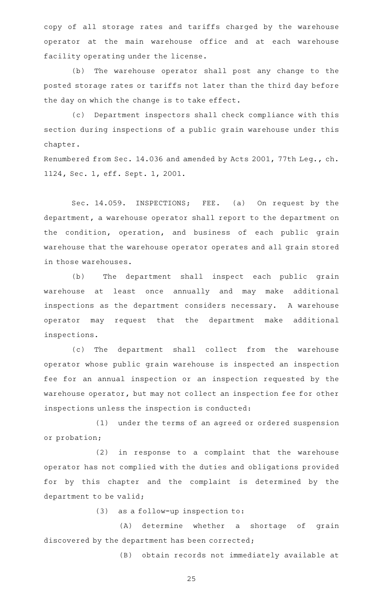copy of all storage rates and tariffs charged by the warehouse operator at the main warehouse office and at each warehouse facility operating under the license.

(b) The warehouse operator shall post any change to the posted storage rates or tariffs not later than the third day before the day on which the change is to take effect.

(c) Department inspectors shall check compliance with this section during inspections of a public grain warehouse under this chapter.

Renumbered from Sec. 14.036 and amended by Acts 2001, 77th Leg., ch. 1124, Sec. 1, eff. Sept. 1, 2001.

Sec. 14.059. INSPECTIONS; FEE. (a) On request by the department, a warehouse operator shall report to the department on the condition, operation, and business of each public grain warehouse that the warehouse operator operates and all grain stored in those warehouses.

(b) The department shall inspect each public grain warehouse at least once annually and may make additional inspections as the department considers necessary. A warehouse operator may request that the department make additional inspections.

(c) The department shall collect from the warehouse operator whose public grain warehouse is inspected an inspection fee for an annual inspection or an inspection requested by the warehouse operator, but may not collect an inspection fee for other inspections unless the inspection is conducted:

(1) under the terms of an agreed or ordered suspension or probation;

(2) in response to a complaint that the warehouse operator has not complied with the duties and obligations provided for by this chapter and the complaint is determined by the department to be valid;

 $(3)$  as a follow-up inspection to:

(A) determine whether a shortage of grain discovered by the department has been corrected;

(B) obtain records not immediately available at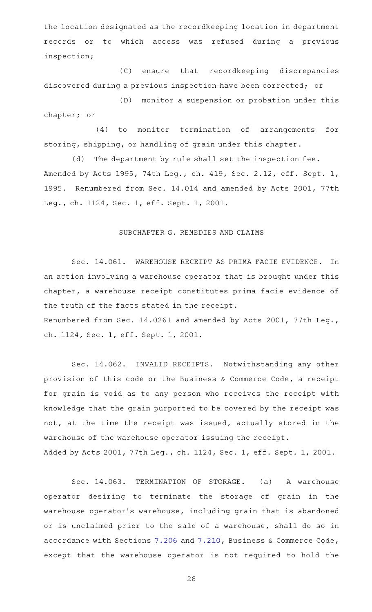the location designated as the recordkeeping location in department records or to which access was refused during a previous inspection;

(C) ensure that recordkeeping discrepancies discovered during a previous inspection have been corrected; or

(D) monitor a suspension or probation under this chapter; or

(4) to monitor termination of arrangements for storing, shipping, or handling of grain under this chapter.

(d) The department by rule shall set the inspection fee. Amended by Acts 1995, 74th Leg., ch. 419, Sec. 2.12, eff. Sept. 1, 1995. Renumbered from Sec. 14.014 and amended by Acts 2001, 77th Leg., ch. 1124, Sec. 1, eff. Sept. 1, 2001.

# SUBCHAPTER G. REMEDIES AND CLAIMS

Sec. 14.061. WAREHOUSE RECEIPT AS PRIMA FACIE EVIDENCE. In an action involving a warehouse operator that is brought under this chapter, a warehouse receipt constitutes prima facie evidence of the truth of the facts stated in the receipt. Renumbered from Sec. 14.0261 and amended by Acts 2001, 77th Leg., ch. 1124, Sec. 1, eff. Sept. 1, 2001.

Sec. 14.062. INVALID RECEIPTS. Notwithstanding any other provision of this code or the Business & Commerce Code, a receipt for grain is void as to any person who receives the receipt with knowledge that the grain purported to be covered by the receipt was not, at the time the receipt was issued, actually stored in the warehouse of the warehouse operator issuing the receipt. Added by Acts 2001, 77th Leg., ch. 1124, Sec. 1, eff. Sept. 1, 2001.

Sec. 14.063. TERMINATION OF STORAGE. (a) A warehouse operator desiring to terminate the storage of grain in the warehouse operator 's warehouse, including grain that is abandoned or is unclaimed prior to the sale of a warehouse, shall do so in accordance with Sections [7.206](http://www.statutes.legis.state.tx.us/GetStatute.aspx?Code=BC&Value=7.206) and [7.210,](http://www.statutes.legis.state.tx.us/GetStatute.aspx?Code=BC&Value=7.210) Business & Commerce Code, except that the warehouse operator is not required to hold the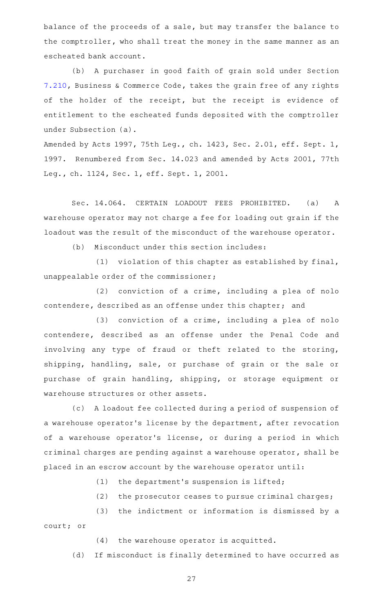balance of the proceeds of a sale, but may transfer the balance to the comptroller, who shall treat the money in the same manner as an escheated bank account.

(b) A purchaser in good faith of grain sold under Section [7.210,](http://www.statutes.legis.state.tx.us/GetStatute.aspx?Code=BC&Value=7.210) Business & Commerce Code, takes the grain free of any rights of the holder of the receipt, but the receipt is evidence of entitlement to the escheated funds deposited with the comptroller under Subsection (a).

Amended by Acts 1997, 75th Leg., ch. 1423, Sec. 2.01, eff. Sept. 1, 1997. Renumbered from Sec. 14.023 and amended by Acts 2001, 77th Leg., ch. 1124, Sec. 1, eff. Sept. 1, 2001.

Sec. 14.064. CERTAIN LOADOUT FEES PROHIBITED. (a) A warehouse operator may not charge a fee for loading out grain if the loadout was the result of the misconduct of the warehouse operator.

(b) Misconduct under this section includes:

(1) violation of this chapter as established by final, unappealable order of the commissioner;

 $(2)$  conviction of a crime, including a plea of nolo contendere, described as an offense under this chapter; and

 $(3)$  conviction of a crime, including a plea of nolo contendere, described as an offense under the Penal Code and involving any type of fraud or theft related to the storing, shipping, handling, sale, or purchase of grain or the sale or purchase of grain handling, shipping, or storage equipment or warehouse structures or other assets.

(c) A loadout fee collected during a period of suspension of a warehouse operator 's license by the department, after revocation of a warehouse operator's license, or during a period in which criminal charges are pending against a warehouse operator, shall be placed in an escrow account by the warehouse operator until:

 $(1)$  the department's suspension is lifted;

(2) the prosecutor ceases to pursue criminal charges;

(3) the indictment or information is dismissed by a court; or

 $(4)$  the warehouse operator is acquitted.

(d) If misconduct is finally determined to have occurred as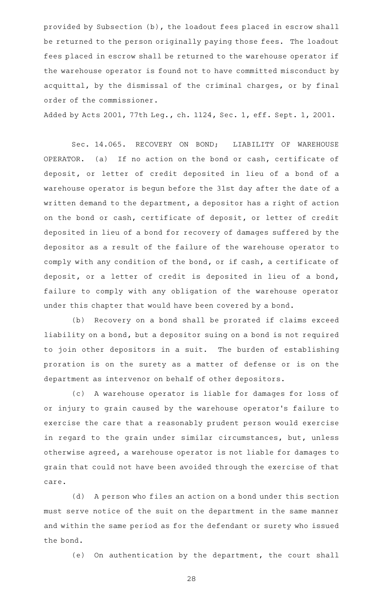provided by Subsection (b), the loadout fees placed in escrow shall be returned to the person originally paying those fees. The loadout fees placed in escrow shall be returned to the warehouse operator if the warehouse operator is found not to have committed misconduct by acquittal, by the dismissal of the criminal charges, or by final order of the commissioner.

Added by Acts 2001, 77th Leg., ch. 1124, Sec. 1, eff. Sept. 1, 2001.

Sec. 14.065. RECOVERY ON BOND; LIABILITY OF WAREHOUSE OPERATOR. (a) If no action on the bond or cash, certificate of deposit, or letter of credit deposited in lieu of a bond of a warehouse operator is begun before the 31st day after the date of a written demand to the department, a depositor has a right of action on the bond or cash, certificate of deposit, or letter of credit deposited in lieu of a bond for recovery of damages suffered by the depositor as a result of the failure of the warehouse operator to comply with any condition of the bond, or if cash, a certificate of deposit, or a letter of credit is deposited in lieu of a bond, failure to comply with any obligation of the warehouse operator under this chapter that would have been covered by a bond.

(b) Recovery on a bond shall be prorated if claims exceed liability on a bond, but a depositor suing on a bond is not required to join other depositors in a suit. The burden of establishing proration is on the surety as a matter of defense or is on the department as intervenor on behalf of other depositors.

(c)AAA warehouse operator is liable for damages for loss of or injury to grain caused by the warehouse operator 's failure to exercise the care that a reasonably prudent person would exercise in regard to the grain under similar circumstances, but, unless otherwise agreed, a warehouse operator is not liable for damages to grain that could not have been avoided through the exercise of that care.

(d) A person who files an action on a bond under this section must serve notice of the suit on the department in the same manner and within the same period as for the defendant or surety who issued the bond.

(e) On authentication by the department, the court shall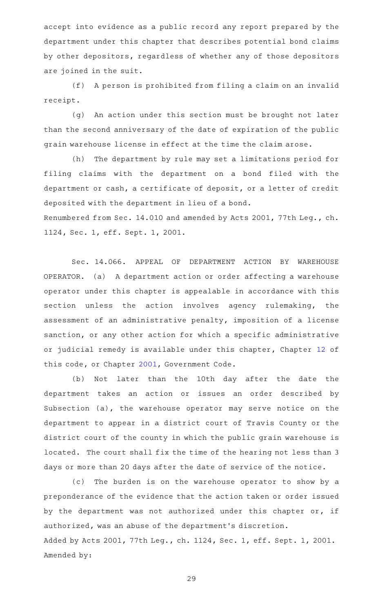accept into evidence as a public record any report prepared by the department under this chapter that describes potential bond claims by other depositors, regardless of whether any of those depositors are joined in the suit.

(f) A person is prohibited from filing a claim on an invalid receipt.

(g) An action under this section must be brought not later than the second anniversary of the date of expiration of the public grain warehouse license in effect at the time the claim arose.

(h) The department by rule may set a limitations period for filing claims with the department on a bond filed with the department or cash, a certificate of deposit, or a letter of credit deposited with the department in lieu of a bond. Renumbered from Sec. 14.010 and amended by Acts 2001, 77th Leg., ch. 1124, Sec. 1, eff. Sept. 1, 2001.

Sec. 14.066. APPEAL OF DEPARTMENT ACTION BY WAREHOUSE OPERATOR. (a) A department action or order affecting a warehouse operator under this chapter is appealable in accordance with this section unless the action involves agency rulemaking, the assessment of an administrative penalty, imposition of a license sanction, or any other action for which a specific administrative or judicial remedy is available under this chapter, Chapter [12](http://www.statutes.legis.state.tx.us/GetStatute.aspx?Code=AG&Value=12) of this code, or Chapter [2001](http://www.statutes.legis.state.tx.us/GetStatute.aspx?Code=GV&Value=2001), Government Code.

(b) Not later than the 10th day after the date the department takes an action or issues an order described by Subsection (a), the warehouse operator may serve notice on the department to appear in a district court of Travis County or the district court of the county in which the public grain warehouse is located. The court shall fix the time of the hearing not less than 3 days or more than 20 days after the date of service of the notice.

(c) The burden is on the warehouse operator to show by a preponderance of the evidence that the action taken or order issued by the department was not authorized under this chapter or, if authorized, was an abuse of the department 's discretion. Added by Acts 2001, 77th Leg., ch. 1124, Sec. 1, eff. Sept. 1, 2001. Amended by: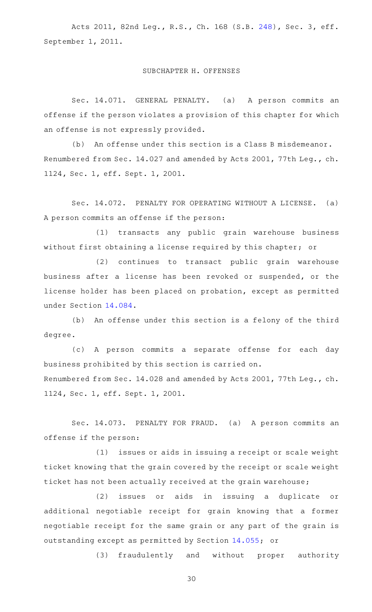Acts 2011, 82nd Leg., R.S., Ch. 168 (S.B. [248](http://www.legis.state.tx.us/tlodocs/82R/billtext/html/SB00248F.HTM)), Sec. 3, eff. September 1, 2011.

### SUBCHAPTER H. OFFENSES

Sec. 14.071. GENERAL PENALTY. (a) A person commits an offense if the person violates a provision of this chapter for which an offense is not expressly provided.

(b) An offense under this section is a Class B misdemeanor. Renumbered from Sec. 14.027 and amended by Acts 2001, 77th Leg., ch. 1124, Sec. 1, eff. Sept. 1, 2001.

Sec. 14.072. PENALTY FOR OPERATING WITHOUT A LICENSE. (a) A person commits an offense if the person:

(1) transacts any public grain warehouse business without first obtaining a license required by this chapter; or

(2) continues to transact public grain warehouse business after a license has been revoked or suspended, or the license holder has been placed on probation, except as permitted under Section [14.084.](http://www.statutes.legis.state.tx.us/GetStatute.aspx?Code=AG&Value=14.084)

(b) An offense under this section is a felony of the third degree.

(c)AAA person commits a separate offense for each day business prohibited by this section is carried on. Renumbered from Sec. 14.028 and amended by Acts 2001, 77th Leg., ch. 1124, Sec. 1, eff. Sept. 1, 2001.

Sec. 14.073. PENALTY FOR FRAUD. (a) A person commits an offense if the person:

(1) issues or aids in issuing a receipt or scale weight ticket knowing that the grain covered by the receipt or scale weight ticket has not been actually received at the grain warehouse;

(2) issues or aids in issuing a duplicate or additional negotiable receipt for grain knowing that a former negotiable receipt for the same grain or any part of the grain is outstanding except as permitted by Section [14.055;](http://www.statutes.legis.state.tx.us/GetStatute.aspx?Code=AG&Value=14.055) or

(3) fraudulently and without proper authority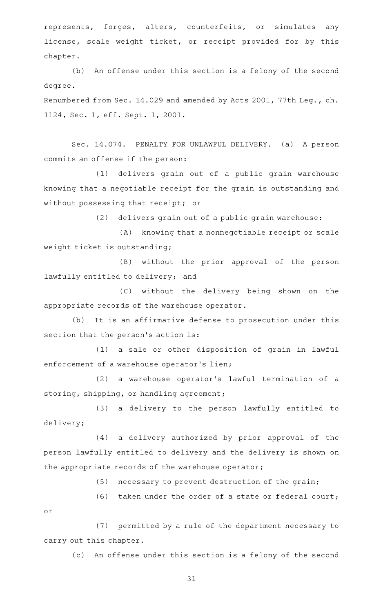represents, forges, alters, counterfeits, or simulates any license, scale weight ticket, or receipt provided for by this chapter.

(b) An offense under this section is a felony of the second degree.

Renumbered from Sec. 14.029 and amended by Acts 2001, 77th Leg., ch. 1124, Sec. 1, eff. Sept. 1, 2001.

Sec. 14.074. PENALTY FOR UNLAWFUL DELIVERY. (a) A person commits an offense if the person:

(1) delivers grain out of a public grain warehouse knowing that a negotiable receipt for the grain is outstanding and without possessing that receipt; or

(2) delivers grain out of a public grain warehouse:

(A) knowing that a nonnegotiable receipt or scale weight ticket is outstanding;

(B) without the prior approval of the person lawfully entitled to delivery; and

(C) without the delivery being shown on the appropriate records of the warehouse operator.

(b) It is an affirmative defense to prosecution under this section that the person's action is:

(1) a sale or other disposition of grain in lawful enforcement of a warehouse operator's lien;

(2) a warehouse operator's lawful termination of a storing, shipping, or handling agreement;

(3) a delivery to the person lawfully entitled to delivery;

(4) a delivery authorized by prior approval of the person lawfully entitled to delivery and the delivery is shown on the appropriate records of the warehouse operator;

(5) necessary to prevent destruction of the grain;

(6) taken under the order of a state or federal court;

(7) permitted by a rule of the department necessary to carry out this chapter.

or

(c) An offense under this section is a felony of the second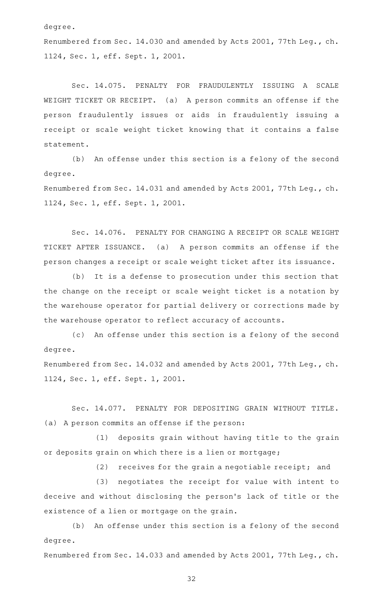degree.

Renumbered from Sec. 14.030 and amended by Acts 2001, 77th Leg., ch. 1124, Sec. 1, eff. Sept. 1, 2001.

Sec. 14.075. PENALTY FOR FRAUDULENTLY ISSUING A SCALE WEIGHT TICKET OR RECEIPT. (a) A person commits an offense if the person fraudulently issues or aids in fraudulently issuing a receipt or scale weight ticket knowing that it contains a false statement.

(b) An offense under this section is a felony of the second degree.

Renumbered from Sec. 14.031 and amended by Acts 2001, 77th Leg., ch. 1124, Sec. 1, eff. Sept. 1, 2001.

Sec. 14.076. PENALTY FOR CHANGING A RECEIPT OR SCALE WEIGHT TICKET AFTER ISSUANCE. (a) A person commits an offense if the person changes a receipt or scale weight ticket after its issuance.

(b) It is a defense to prosecution under this section that the change on the receipt or scale weight ticket is a notation by the warehouse operator for partial delivery or corrections made by the warehouse operator to reflect accuracy of accounts.

(c) An offense under this section is a felony of the second degree.

Renumbered from Sec. 14.032 and amended by Acts 2001, 77th Leg., ch. 1124, Sec. 1, eff. Sept. 1, 2001.

Sec. 14.077. PENALTY FOR DEPOSITING GRAIN WITHOUT TITLE. (a) A person commits an offense if the person:

(1) deposits grain without having title to the grain or deposits grain on which there is a lien or mortgage;

 $(2)$  receives for the grain a negotiable receipt; and

(3) negotiates the receipt for value with intent to deceive and without disclosing the person 's lack of title or the existence of a lien or mortgage on the grain.

(b) An offense under this section is a felony of the second degree.

Renumbered from Sec. 14.033 and amended by Acts 2001, 77th Leg., ch.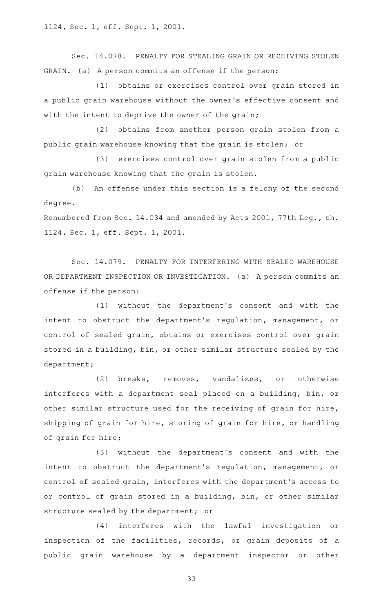1124, Sec. 1, eff. Sept. 1, 2001.

Sec. 14.078. PENALTY FOR STEALING GRAIN OR RECEIVING STOLEN GRAIN. (a) A person commits an offense if the person:

(1) obtains or exercises control over grain stored in a public grain warehouse without the owner 's effective consent and with the intent to deprive the owner of the grain;

(2) obtains from another person grain stolen from a public grain warehouse knowing that the grain is stolen; or

(3) exercises control over grain stolen from a public grain warehouse knowing that the grain is stolen.

(b) An offense under this section is a felony of the second degree.

Renumbered from Sec. 14.034 and amended by Acts 2001, 77th Leg., ch. 1124, Sec. 1, eff. Sept. 1, 2001.

Sec. 14.079. PENALTY FOR INTERFERING WITH SEALED WAREHOUSE OR DEPARTMENT INSPECTION OR INVESTIGATION. (a) A person commits an offense if the person:

(1) without the department's consent and with the intent to obstruct the department's regulation, management, or control of sealed grain, obtains or exercises control over grain stored in a building, bin, or other similar structure sealed by the department;

(2) breaks, removes, vandalizes, or otherwise interferes with a department seal placed on a building, bin, or other similar structure used for the receiving of grain for hire, shipping of grain for hire, storing of grain for hire, or handling of grain for hire;

(3) without the department's consent and with the intent to obstruct the department's regulation, management, or control of sealed grain, interferes with the department 's access to or control of grain stored in a building, bin, or other similar structure sealed by the department; or

(4) interferes with the lawful investigation or inspection of the facilities, records, or grain deposits of a public grain warehouse by a department inspector or other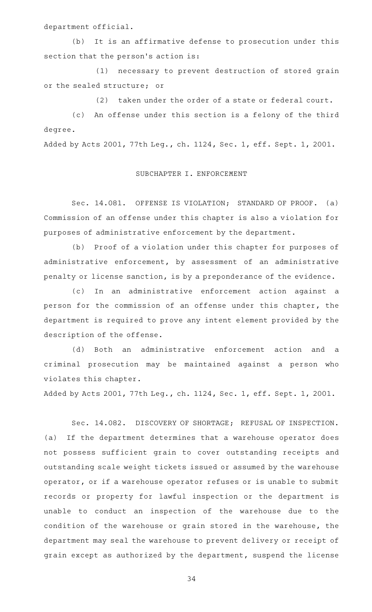department official.

(b) It is an affirmative defense to prosecution under this section that the person's action is:

(1) necessary to prevent destruction of stored grain or the sealed structure; or

(2) taken under the order of a state or federal court.

(c) An offense under this section is a felony of the third degree.

Added by Acts 2001, 77th Leg., ch. 1124, Sec. 1, eff. Sept. 1, 2001.

### SUBCHAPTER I. ENFORCEMENT

Sec. 14.081. OFFENSE IS VIOLATION; STANDARD OF PROOF. (a) Commission of an offense under this chapter is also a violation for purposes of administrative enforcement by the department.

(b) Proof of a violation under this chapter for purposes of administrative enforcement, by assessment of an administrative penalty or license sanction, is by a preponderance of the evidence.

(c) In an administrative enforcement action against a person for the commission of an offense under this chapter, the department is required to prove any intent element provided by the description of the offense.

(d) Both an administrative enforcement action and a criminal prosecution may be maintained against a person who violates this chapter.

Added by Acts 2001, 77th Leg., ch. 1124, Sec. 1, eff. Sept. 1, 2001.

Sec. 14.082. DISCOVERY OF SHORTAGE; REFUSAL OF INSPECTION. (a) If the department determines that a warehouse operator does not possess sufficient grain to cover outstanding receipts and outstanding scale weight tickets issued or assumed by the warehouse operator, or if a warehouse operator refuses or is unable to submit records or property for lawful inspection or the department is unable to conduct an inspection of the warehouse due to the condition of the warehouse or grain stored in the warehouse, the department may seal the warehouse to prevent delivery or receipt of grain except as authorized by the department, suspend the license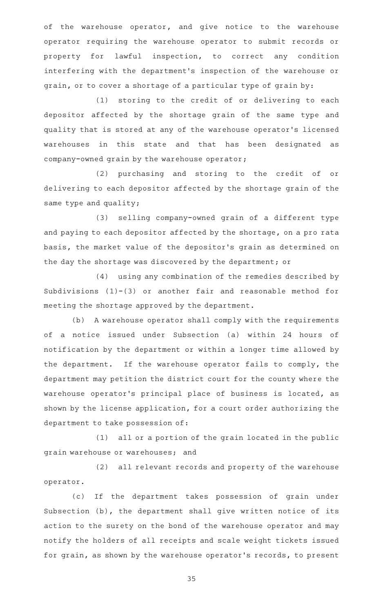of the warehouse operator, and give notice to the warehouse operator requiring the warehouse operator to submit records or property for lawful inspection, to correct any condition interfering with the department 's inspection of the warehouse or grain, or to cover a shortage of a particular type of grain by:

(1) storing to the credit of or delivering to each depositor affected by the shortage grain of the same type and quality that is stored at any of the warehouse operator 's licensed warehouses in this state and that has been designated as company-owned grain by the warehouse operator;

(2) purchasing and storing to the credit of or delivering to each depositor affected by the shortage grain of the same type and quality;

(3) selling company-owned grain of a different type and paying to each depositor affected by the shortage, on a pro rata basis, the market value of the depositor 's grain as determined on the day the shortage was discovered by the department; or

(4) using any combination of the remedies described by Subdivisions  $(1)-(3)$  or another fair and reasonable method for meeting the shortage approved by the department.

(b) A warehouse operator shall comply with the requirements of a notice issued under Subsection (a) within 24 hours of notification by the department or within a longer time allowed by the department. If the warehouse operator fails to comply, the department may petition the district court for the county where the warehouse operator's principal place of business is located, as shown by the license application, for a court order authorizing the department to take possession of:

 $(1)$  all or a portion of the grain located in the public grain warehouse or warehouses; and

(2) all relevant records and property of the warehouse operator.

(c) If the department takes possession of grain under Subsection (b), the department shall give written notice of its action to the surety on the bond of the warehouse operator and may notify the holders of all receipts and scale weight tickets issued for grain, as shown by the warehouse operator 's records, to present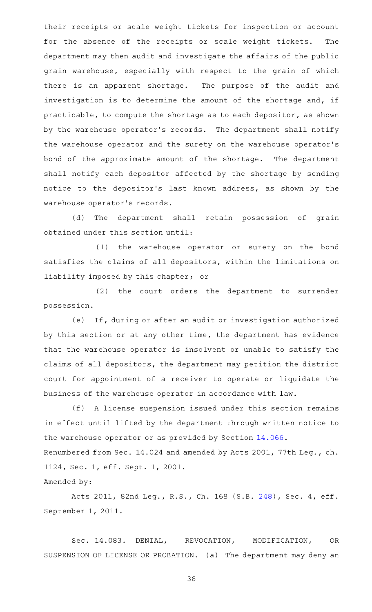their receipts or scale weight tickets for inspection or account for the absence of the receipts or scale weight tickets. The department may then audit and investigate the affairs of the public grain warehouse, especially with respect to the grain of which there is an apparent shortage. The purpose of the audit and investigation is to determine the amount of the shortage and, if practicable, to compute the shortage as to each depositor, as shown by the warehouse operator 's records. The department shall notify the warehouse operator and the surety on the warehouse operator 's bond of the approximate amount of the shortage. The department shall notify each depositor affected by the shortage by sending notice to the depositor 's last known address, as shown by the warehouse operator 's records.

(d) The department shall retain possession of grain obtained under this section until:

(1) the warehouse operator or surety on the bond satisfies the claims of all depositors, within the limitations on liability imposed by this chapter; or

(2) the court orders the department to surrender possession.

(e) If, during or after an audit or investigation authorized by this section or at any other time, the department has evidence that the warehouse operator is insolvent or unable to satisfy the claims of all depositors, the department may petition the district court for appointment of a receiver to operate or liquidate the business of the warehouse operator in accordance with law.

(f) A license suspension issued under this section remains in effect until lifted by the department through written notice to the warehouse operator or as provided by Section [14.066](http://www.statutes.legis.state.tx.us/GetStatute.aspx?Code=AG&Value=14.066). Renumbered from Sec. 14.024 and amended by Acts 2001, 77th Leg., ch. 1124, Sec. 1, eff. Sept. 1, 2001. Amended by:

Acts 2011, 82nd Leg., R.S., Ch. 168 (S.B. [248](http://www.legis.state.tx.us/tlodocs/82R/billtext/html/SB00248F.HTM)), Sec. 4, eff. September 1, 2011.

Sec. 14.083. DENIAL, REVOCATION, MODIFICATION, OR SUSPENSION OF LICENSE OR PROBATION. (a) The department may deny an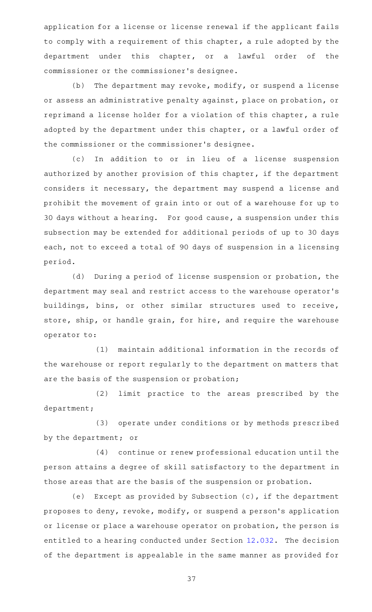application for a license or license renewal if the applicant fails to comply with a requirement of this chapter, a rule adopted by the department under this chapter, or a lawful order of the commissioner or the commissioner 's designee.

 $(b)$  The department may revoke, modify, or suspend a license or assess an administrative penalty against, place on probation, or reprimand a license holder for a violation of this chapter, a rule adopted by the department under this chapter, or a lawful order of the commissioner or the commissioner 's designee.

(c) In addition to or in lieu of a license suspension authorized by another provision of this chapter, if the department considers it necessary, the department may suspend a license and prohibit the movement of grain into or out of a warehouse for up to 30 days without a hearing. For good cause, a suspension under this subsection may be extended for additional periods of up to 30 days each, not to exceed a total of 90 days of suspension in a licensing period.

(d) During a period of license suspension or probation, the department may seal and restrict access to the warehouse operator 's buildings, bins, or other similar structures used to receive, store, ship, or handle grain, for hire, and require the warehouse operator to:

(1) maintain additional information in the records of the warehouse or report regularly to the department on matters that are the basis of the suspension or probation;

(2) limit practice to the areas prescribed by the department;

(3) operate under conditions or by methods prescribed by the department; or

(4) continue or renew professional education until the person attains a degree of skill satisfactory to the department in those areas that are the basis of the suspension or probation.

(e) Except as provided by Subsection  $(c)$ , if the department proposes to deny, revoke, modify, or suspend a person 's application or license or place a warehouse operator on probation, the person is entitled to a hearing conducted under Section [12.032.](http://www.statutes.legis.state.tx.us/GetStatute.aspx?Code=AG&Value=12.032) The decision of the department is appealable in the same manner as provided for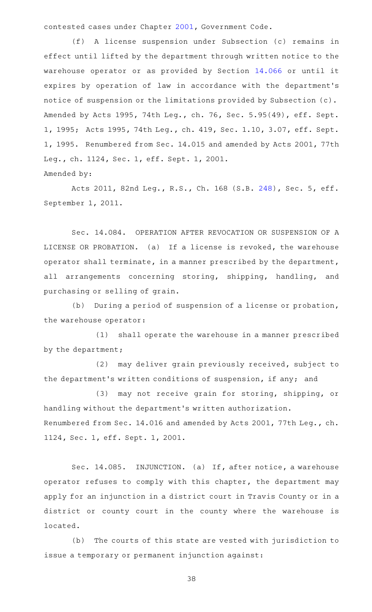contested cases under Chapter [2001,](http://www.statutes.legis.state.tx.us/GetStatute.aspx?Code=GV&Value=2001) Government Code.

(f)AAA license suspension under Subsection (c) remains in effect until lifted by the department through written notice to the warehouse operator or as provided by Section [14.066](http://www.statutes.legis.state.tx.us/GetStatute.aspx?Code=AG&Value=14.066) or until it expires by operation of law in accordance with the department 's notice of suspension or the limitations provided by Subsection (c). Amended by Acts 1995, 74th Leg., ch. 76, Sec. 5.95(49), eff. Sept. 1, 1995; Acts 1995, 74th Leg., ch. 419, Sec. 1.10, 3.07, eff. Sept. 1, 1995. Renumbered from Sec. 14.015 and amended by Acts 2001, 77th Leg., ch. 1124, Sec. 1, eff. Sept. 1, 2001. Amended by:

Acts 2011, 82nd Leg., R.S., Ch. 168 (S.B. [248](http://www.legis.state.tx.us/tlodocs/82R/billtext/html/SB00248F.HTM)), Sec. 5, eff. September 1, 2011.

Sec. 14.084. OPERATION AFTER REVOCATION OR SUSPENSION OF A LICENSE OR PROBATION. (a) If a license is revoked, the warehouse operator shall terminate, in a manner prescribed by the department, all arrangements concerning storing, shipping, handling, and purchasing or selling of grain.

(b) During a period of suspension of a license or probation, the warehouse operator:

(1) shall operate the warehouse in a manner prescribed by the department;

(2) may deliver grain previously received, subject to the department 's written conditions of suspension, if any; and

(3) may not receive grain for storing, shipping, or handling without the department 's written authorization. Renumbered from Sec. 14.016 and amended by Acts 2001, 77th Leg., ch. 1124, Sec. 1, eff. Sept. 1, 2001.

Sec. 14.085. INJUNCTION. (a) If, after notice, a warehouse operator refuses to comply with this chapter, the department may apply for an injunction in a district court in Travis County or in a district or county court in the county where the warehouse is located.

(b) The courts of this state are vested with jurisdiction to issue a temporary or permanent injunction against: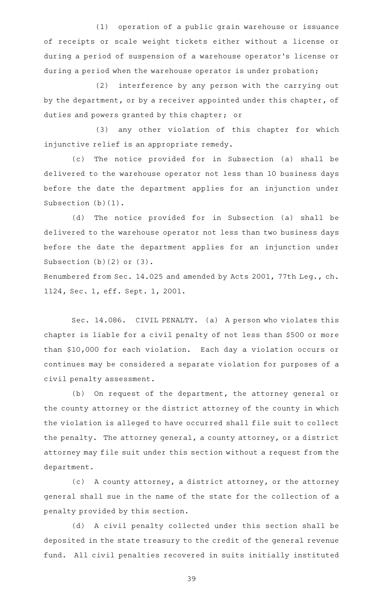(1) operation of a public grain warehouse or issuance of receipts or scale weight tickets either without a license or during a period of suspension of a warehouse operator 's license or during a period when the warehouse operator is under probation;

(2) interference by any person with the carrying out by the department, or by a receiver appointed under this chapter, of duties and powers granted by this chapter; or

(3) any other violation of this chapter for which injunctive relief is an appropriate remedy.

(c) The notice provided for in Subsection (a) shall be delivered to the warehouse operator not less than 10 business days before the date the department applies for an injunction under Subsection (b)(1).

(d) The notice provided for in Subsection (a) shall be delivered to the warehouse operator not less than two business days before the date the department applies for an injunction under Subsection (b)(2) or (3).

Renumbered from Sec. 14.025 and amended by Acts 2001, 77th Leg., ch. 1124, Sec. 1, eff. Sept. 1, 2001.

Sec. 14.086. CIVIL PENALTY. (a) A person who violates this chapter is liable for a civil penalty of not less than \$500 or more than \$10,000 for each violation. Each day a violation occurs or continues may be considered a separate violation for purposes of a civil penalty assessment.

(b) On request of the department, the attorney general or the county attorney or the district attorney of the county in which the violation is alleged to have occurred shall file suit to collect the penalty. The attorney general, a county attorney, or a district attorney may file suit under this section without a request from the department.

(c) A county attorney, a district attorney, or the attorney general shall sue in the name of the state for the collection of a penalty provided by this section.

(d) A civil penalty collected under this section shall be deposited in the state treasury to the credit of the general revenue fund. All civil penalties recovered in suits initially instituted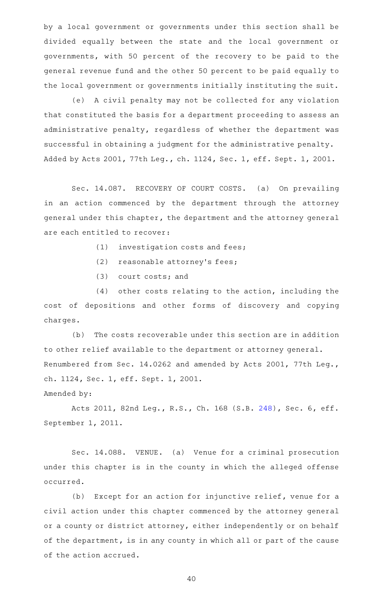by a local government or governments under this section shall be divided equally between the state and the local government or governments, with 50 percent of the recovery to be paid to the general revenue fund and the other 50 percent to be paid equally to the local government or governments initially instituting the suit.

(e) A civil penalty may not be collected for any violation that constituted the basis for a department proceeding to assess an administrative penalty, regardless of whether the department was successful in obtaining a judgment for the administrative penalty. Added by Acts 2001, 77th Leg., ch. 1124, Sec. 1, eff. Sept. 1, 2001.

Sec. 14.087. RECOVERY OF COURT COSTS. (a) On prevailing in an action commenced by the department through the attorney general under this chapter, the department and the attorney general are each entitled to recover:

- $(1)$  investigation costs and fees;
- (2) reasonable attorney's fees;
- $(3)$  court costs; and

 $(4)$  other costs relating to the action, including the cost of depositions and other forms of discovery and copying charges.

(b) The costs recoverable under this section are in addition to other relief available to the department or attorney general. Renumbered from Sec. 14.0262 and amended by Acts 2001, 77th Leg., ch. 1124, Sec. 1, eff. Sept. 1, 2001.

Amended by:

Acts 2011, 82nd Leg., R.S., Ch. 168 (S.B. [248](http://www.legis.state.tx.us/tlodocs/82R/billtext/html/SB00248F.HTM)), Sec. 6, eff. September 1, 2011.

Sec. 14.088. VENUE. (a) Venue for a criminal prosecution under this chapter is in the county in which the alleged offense occurred.

(b) Except for an action for injunctive relief, venue for a civil action under this chapter commenced by the attorney general or a county or district attorney, either independently or on behalf of the department, is in any county in which all or part of the cause of the action accrued.